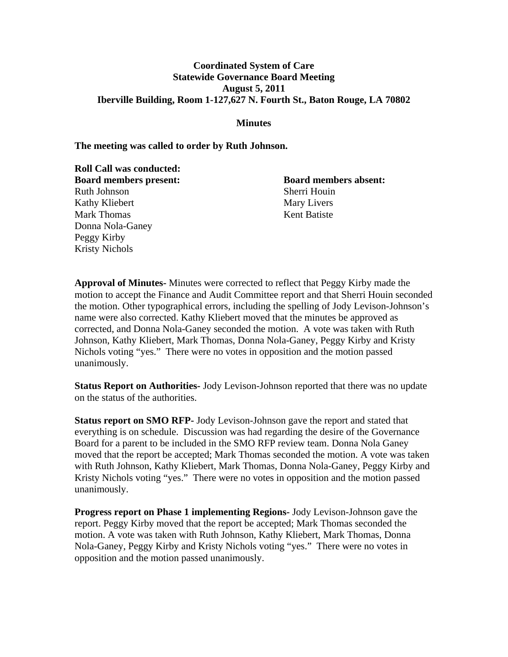## **Coordinated System of Care Statewide Governance Board Meeting August 5, 2011 Iberville Building, Room 1-127,627 N. Fourth St., Baton Rouge, LA 70802**

**Minutes** 

**The meeting was called to order by Ruth Johnson.** 

**Roll Call was conducted: Board members present: Board members absent:** Ruth Johnson Sherri Houin Kathy Kliebert Mary Livers Mark Thomas Kent Batiste Donna Nola-Ganey Peggy Kirby Kristy Nichols

**Approval of Minutes-** Minutes were corrected to reflect that Peggy Kirby made the motion to accept the Finance and Audit Committee report and that Sherri Houin seconded the motion. Other typographical errors, including the spelling of Jody Levison-Johnson's name were also corrected. Kathy Kliebert moved that the minutes be approved as corrected, and Donna Nola-Ganey seconded the motion. A vote was taken with Ruth Johnson, Kathy Kliebert, Mark Thomas, Donna Nola-Ganey, Peggy Kirby and Kristy Nichols voting "yes." There were no votes in opposition and the motion passed unanimously.

**Status Report on Authorities-** Jody Levison-Johnson reported that there was no update on the status of the authorities.

**Status report on SMO RFP-** Jody Levison-Johnson gave the report and stated that everything is on schedule. Discussion was had regarding the desire of the Governance Board for a parent to be included in the SMO RFP review team. Donna Nola Ganey moved that the report be accepted; Mark Thomas seconded the motion. A vote was taken with Ruth Johnson, Kathy Kliebert, Mark Thomas, Donna Nola-Ganey, Peggy Kirby and Kristy Nichols voting "yes." There were no votes in opposition and the motion passed unanimously.

**Progress report on Phase 1 implementing Regions-** Jody Levison-Johnson gave the report. Peggy Kirby moved that the report be accepted; Mark Thomas seconded the motion. A vote was taken with Ruth Johnson, Kathy Kliebert, Mark Thomas, Donna Nola-Ganey, Peggy Kirby and Kristy Nichols voting "yes." There were no votes in opposition and the motion passed unanimously.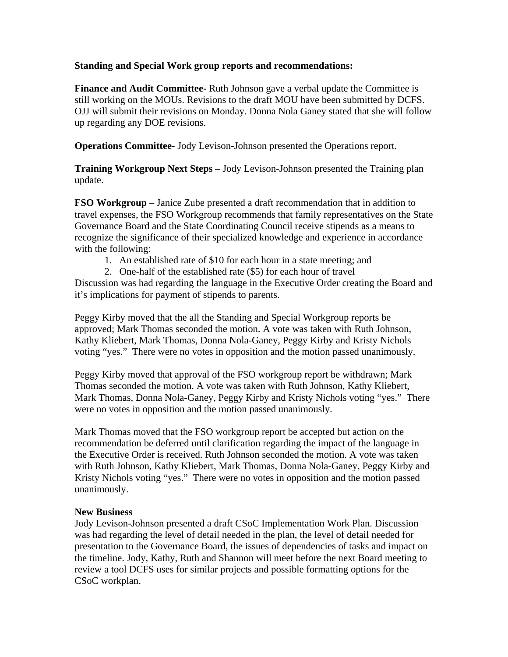## **Standing and Special Work group reports and recommendations:**

**Finance and Audit Committee-** Ruth Johnson gave a verbal update the Committee is still working on the MOUs. Revisions to the draft MOU have been submitted by DCFS. OJJ will submit their revisions on Monday. Donna Nola Ganey stated that she will follow up regarding any DOE revisions.

**Operations Committee-** Jody Levison-Johnson presented the Operations report.

**Training Workgroup Next Steps –** Jody Levison-Johnson presented the Training plan update.

**FSO Workgroup** – Janice Zube presented a draft recommendation that in addition to travel expenses, the FSO Workgroup recommends that family representatives on the State Governance Board and the State Coordinating Council receive stipends as a means to recognize the significance of their specialized knowledge and experience in accordance with the following:

- 1. An established rate of \$10 for each hour in a state meeting; and
- 2. One-half of the established rate (\$5) for each hour of travel

Discussion was had regarding the language in the Executive Order creating the Board and it's implications for payment of stipends to parents.

Peggy Kirby moved that the all the Standing and Special Workgroup reports be approved; Mark Thomas seconded the motion. A vote was taken with Ruth Johnson, Kathy Kliebert, Mark Thomas, Donna Nola-Ganey, Peggy Kirby and Kristy Nichols voting "yes." There were no votes in opposition and the motion passed unanimously.

Peggy Kirby moved that approval of the FSO workgroup report be withdrawn; Mark Thomas seconded the motion. A vote was taken with Ruth Johnson, Kathy Kliebert, Mark Thomas, Donna Nola-Ganey, Peggy Kirby and Kristy Nichols voting "yes." There were no votes in opposition and the motion passed unanimously.

Mark Thomas moved that the FSO workgroup report be accepted but action on the recommendation be deferred until clarification regarding the impact of the language in the Executive Order is received. Ruth Johnson seconded the motion. A vote was taken with Ruth Johnson, Kathy Kliebert, Mark Thomas, Donna Nola-Ganey, Peggy Kirby and Kristy Nichols voting "yes." There were no votes in opposition and the motion passed unanimously.

## **New Business**

Jody Levison-Johnson presented a draft CSoC Implementation Work Plan. Discussion was had regarding the level of detail needed in the plan, the level of detail needed for presentation to the Governance Board, the issues of dependencies of tasks and impact on the timeline. Jody, Kathy, Ruth and Shannon will meet before the next Board meeting to review a tool DCFS uses for similar projects and possible formatting options for the CSoC workplan.